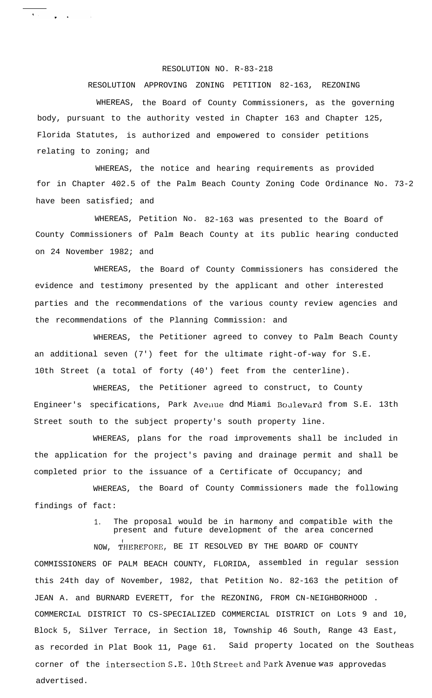## RESOLUTION NO. R-83-218

 $\begin{array}{c} \begin{array}{c} \hline \end{array} & \begin{array}{c} \hline \end{array} & \begin{array}{c} \hline \end{array} & \begin{array}{c} \hline \end{array} & \begin{array}{c} \hline \end{array} \end{array}$ 

## RESOLUTION APPROVING ZONING PETITION 82-163, REZONING

WHEREAS, the Board of County Commissioners, as the governing body, pursuant to the authority vested in Chapter 163 and Chapter 125, Florida Statutes, is authorized and empowered to consider petitions relating to zoning; and

WHEREAS, the notice and hearing requirements as provided for in Chapter 402.5 of the Palm Beach County Zoning Code Ordinance No. 73-2 have been satisfied; and

WHEREAS, Petition No. 82-163 was presented to the Board of County Commissioners of Palm Beach County at its public hearing conducted on 24 November 1982; and

WHEREAS, the Board of County Commissioners has considered the evidence and testimony presented by the applicant and other interested parties and the recommendations of the various county review agencies and the recommendations of the Planning Commission: and

WHEREAS, the Petitioner agreed to convey to Palm Beach County an additional seven (7') feet for the ultimate right-of-way for S.E. 10th Street (a total of forty (40') feet from the centerline).

WHEREAS, the Petitioner agreed to construct, to County Engineer's specifications, Park Aveilue dnd Miami Boulevard from S.E. 13th Street south to the subject property's south property line.

WHEREAS, plans for the road improvements shall be included in the application for the project's paving and drainage permit and shall be completed prior to the issuance of a Certificate of Occupancy; and

WHEREAS, the Board of County Commissioners made the following findings of fact:

> 1. The proposal would be in harmony and compatible with the present and future development of the area concerned

NOW, THEREFORE, BE IT RESOLVED BY THE BOARD OF COUNTY COMMISSIONERS OF PALM BEACH COUNTY, FLORIDA, assembled in regular session this 24th day of November, 1982, that Petition No. 82-163 the petition of JEAN A. and BURNARD EVERETT, for the REZONING, FROM CN-NEIGHBORHOOD . COMMERCIAL DISTRICT TO CS-SPECIALIZED COMMERCIAL DISTRICT on Lots 9 and 10, Block 5, Silver Terrace, in Section 18, Township 46 South, Range 43 East, as recorded in Plat Book 11, Page 61. Said property located on the Southeas corner of the intersection S.E. 10th Street and Park Avenue was approvedas advertised.